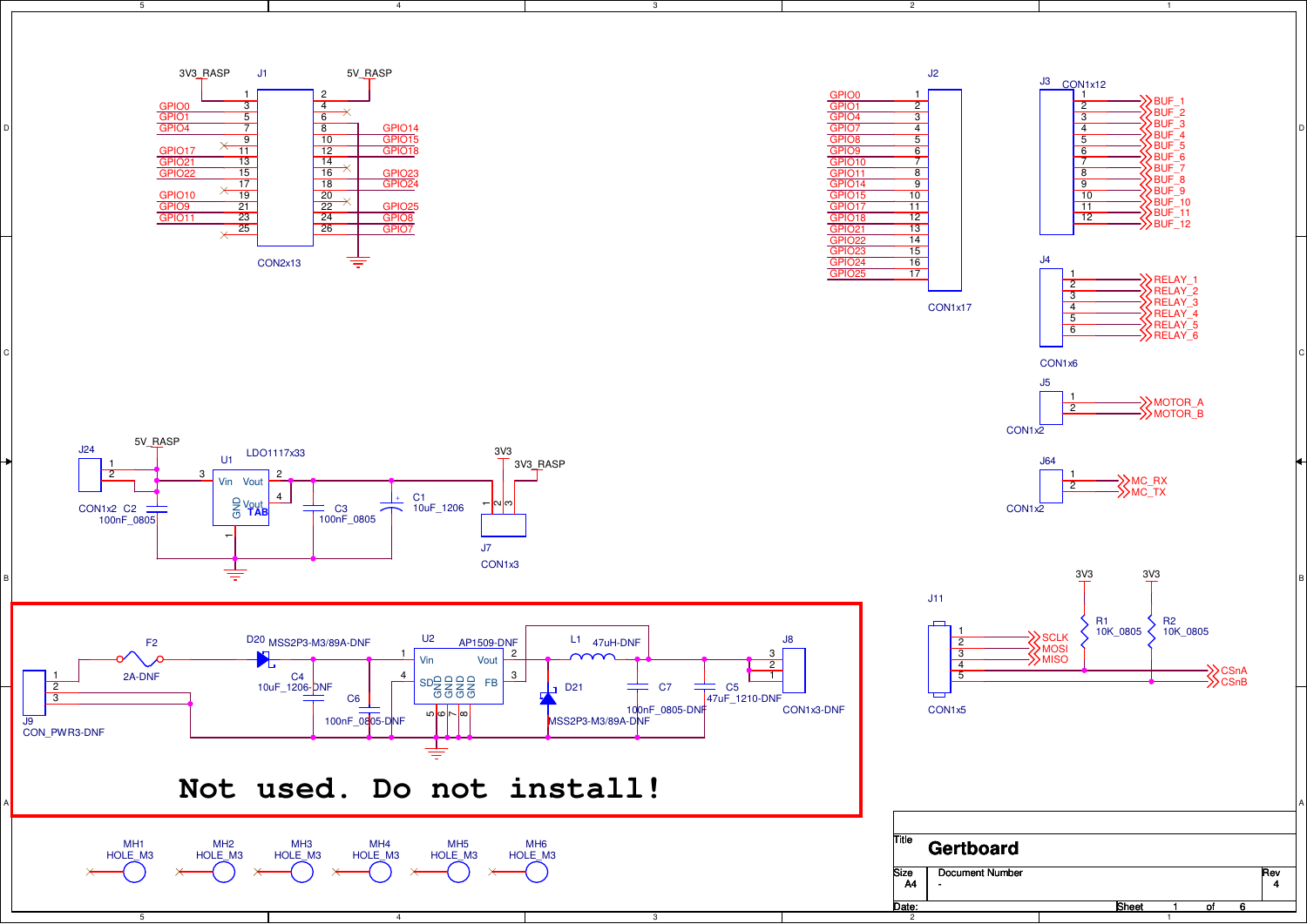

 $\overline{4}$ 

3

3

5



 $\overline{2}$ 



1







MC\_RX<br>MC\_TX J64CON<sub>1x2</sub> 12





A

3V3\_RASP3V3 5V\_RASP LDO1117x33 **-** C3<br>100nF 0805 J24CON1x2 C2 100nF\_0805 2J7 CON1x3—<mark>|ო|</mark>ო +C<sub>1</sub> 10uF\_1206을 Vout<br><sub>(5</sub> **TAB** U<sub>1</sub>  $\overline{\phantom{0}}$  $\frac{3}{1}$  Vin Vout 24



## **Not used. Do not install!**

4



5

B

A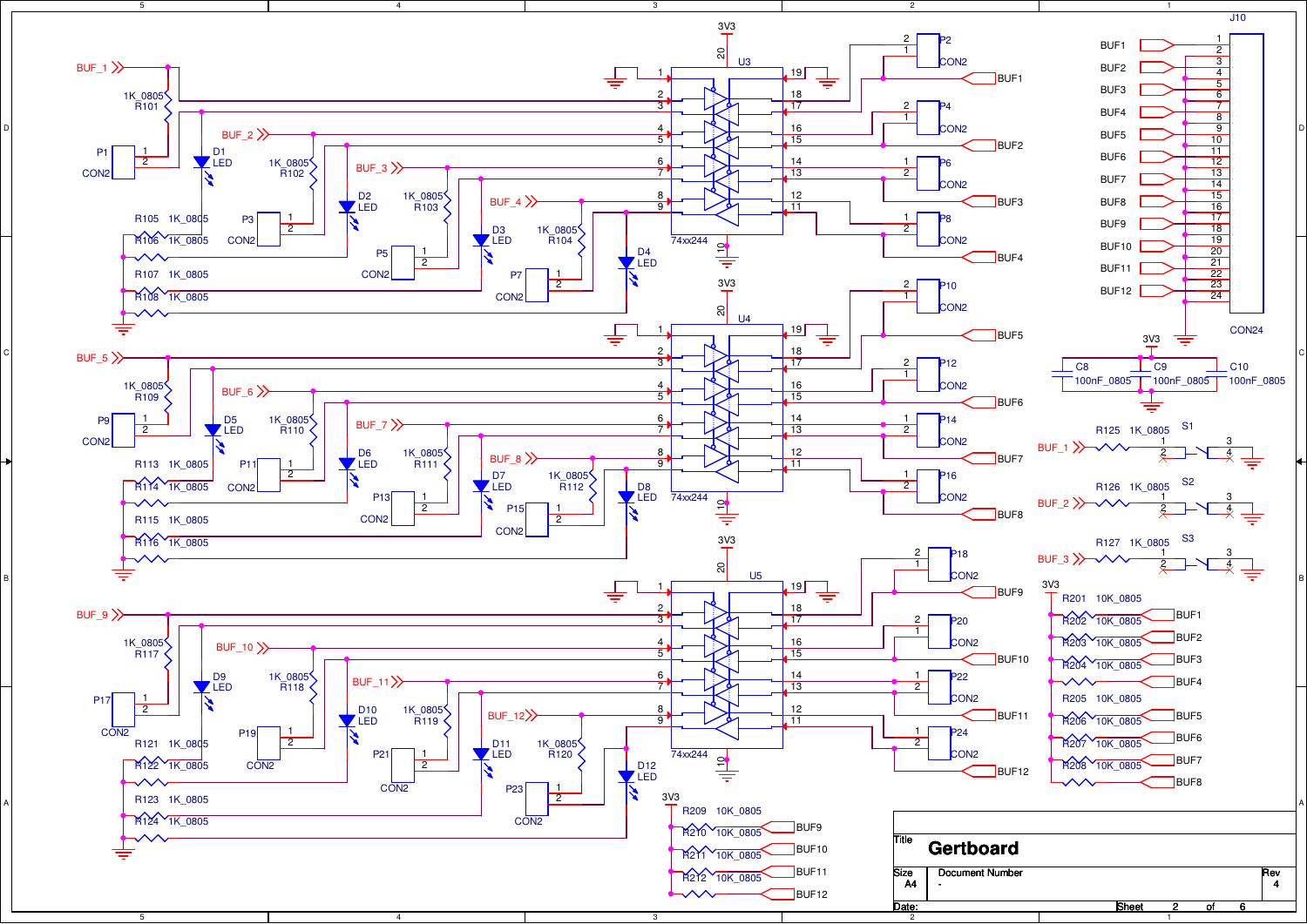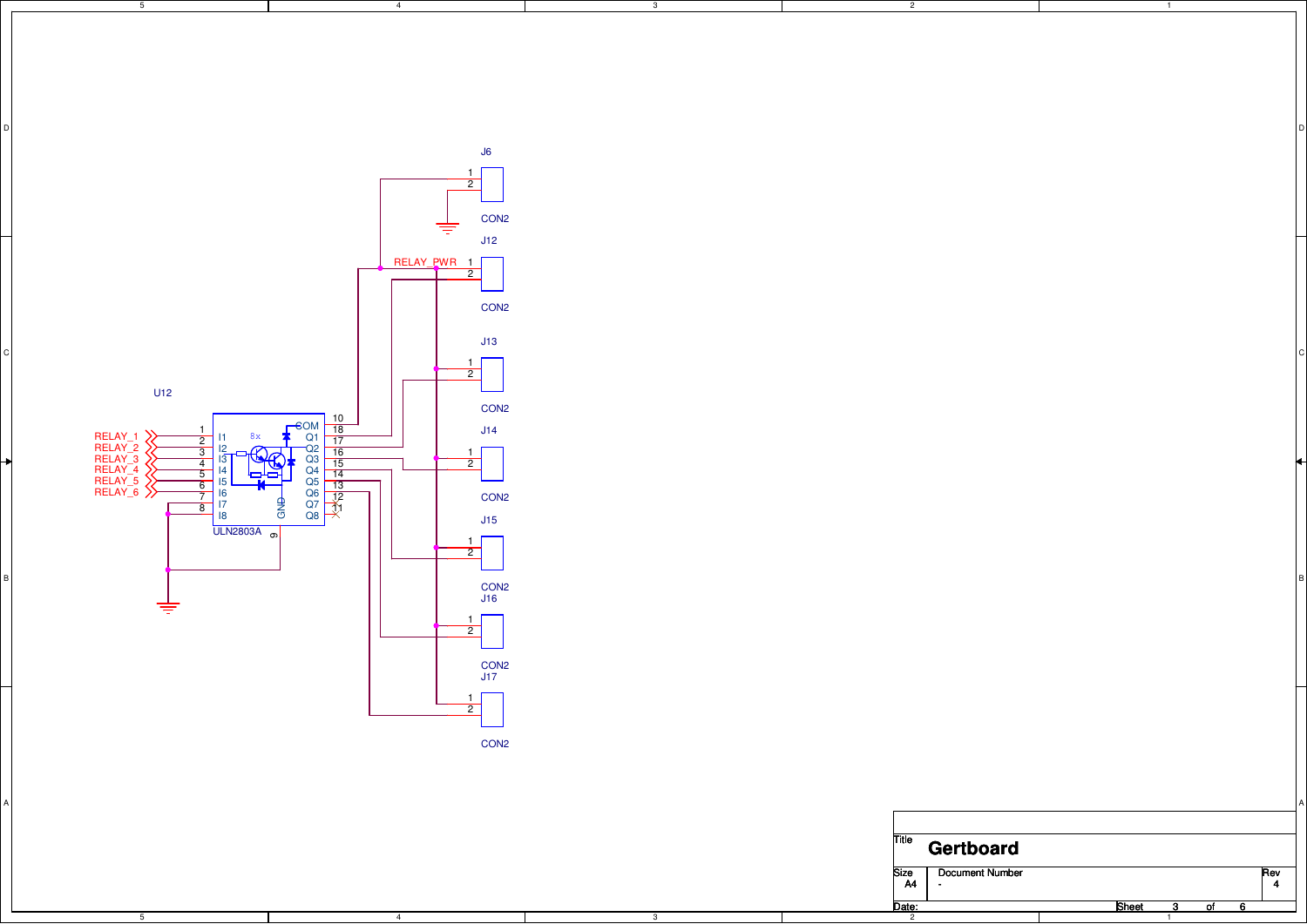

4

3

2

3

A

4

5

5

B

A

Date: 1TitleSize | Document Number r Rev  $\frac{\text{Rev}}{4}$ Sheet 3 - <sup>4</sup>**Gertboard**A4  $\overline{\text{of}}$  6

 $\overline{1}$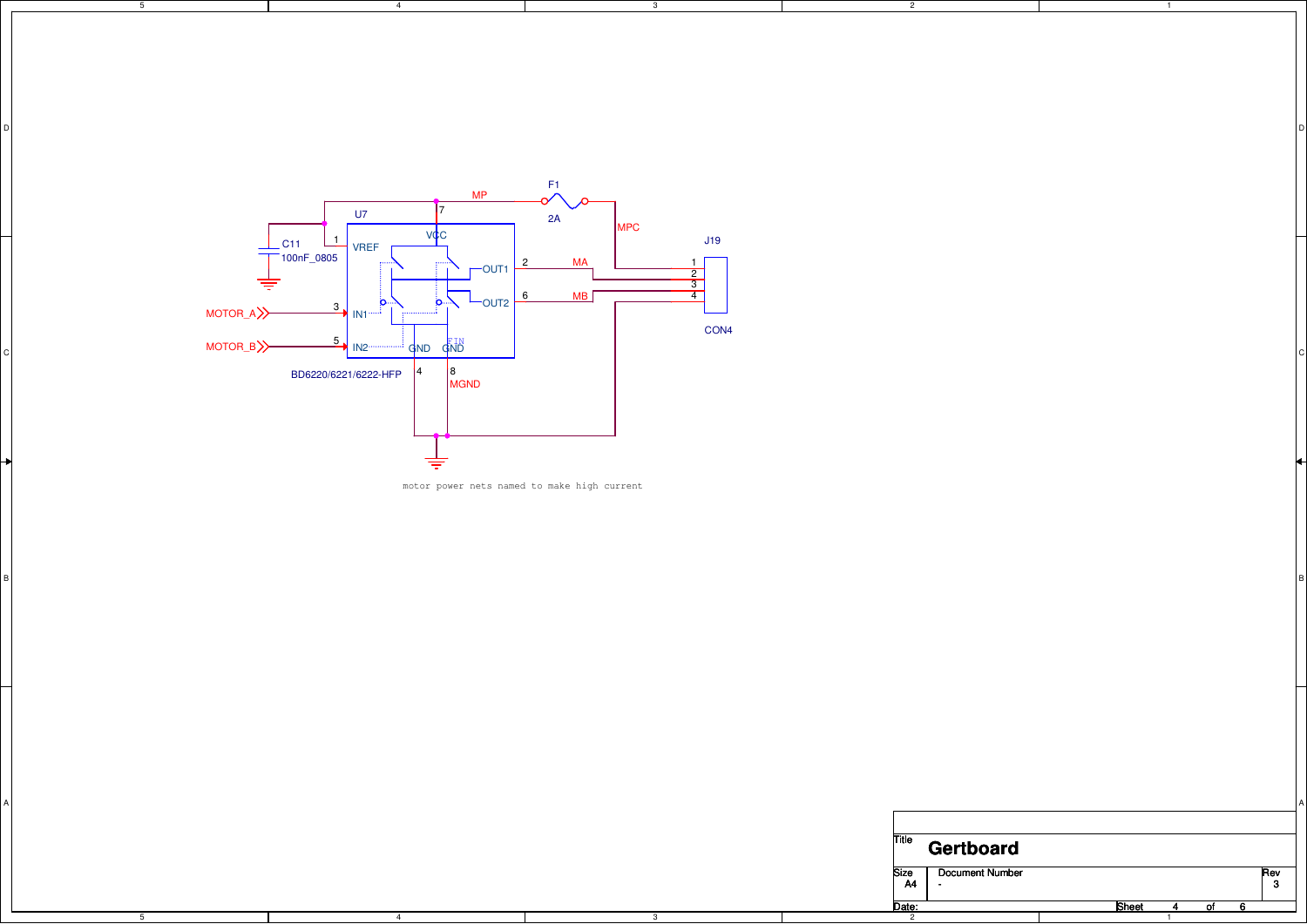

4

4

5

5

B

A

motor power nets named to make high current

3

D DISCOVERED AND RESERVE TO A REPORT OF THE CHARGE OF THE CHARGE OF THE CHARGE OF THE CHARGE OF THE CHARGE OF

2

3

A

B

| <b>Title</b> | <b>Gertboard</b>       |       |    |     |
|--------------|------------------------|-------|----|-----|
| Size         | <b>Document Number</b> |       |    | Rev |
| <b>A4</b>    |                        |       |    | 3   |
| Date:        |                        | Sheet | ΟĪ |     |
| 2            |                        |       |    |     |

 $\overline{1}$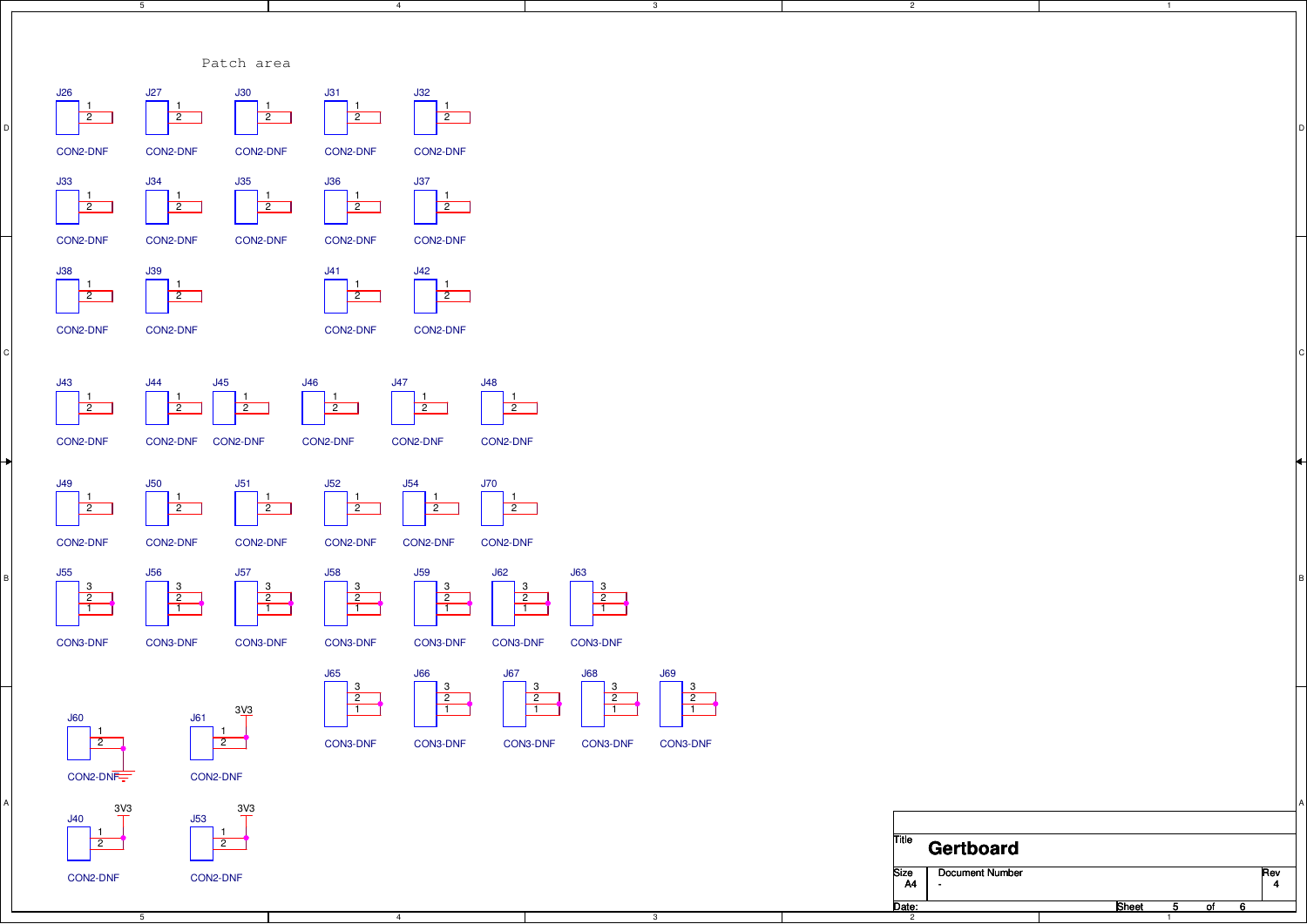



 $\overline{1}$ 

ر۔